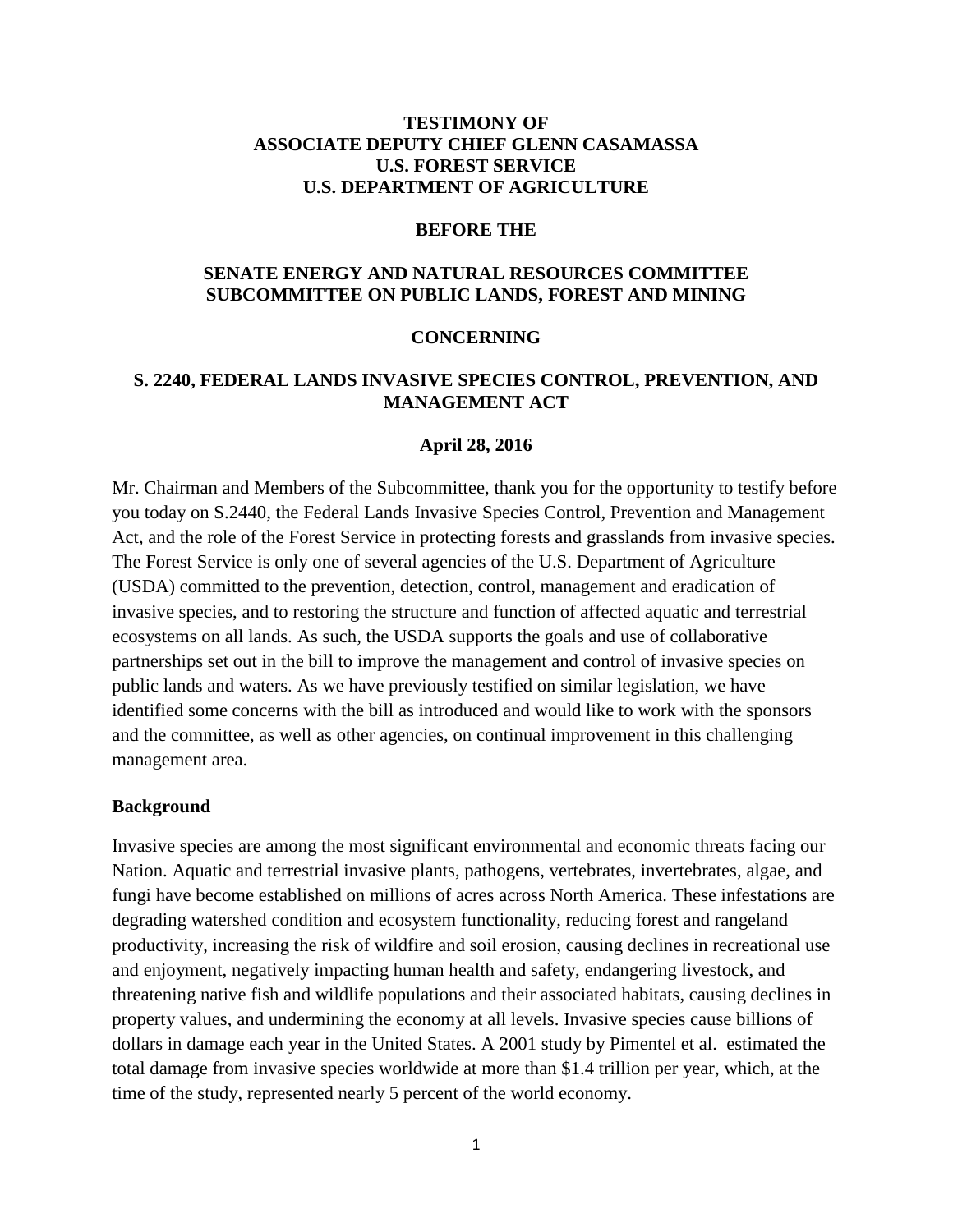## **TESTIMONY OF ASSOCIATE DEPUTY CHIEF GLENN CASAMASSA U.S. FOREST SERVICE U.S. DEPARTMENT OF AGRICULTURE**

#### **BEFORE THE**

## **SENATE ENERGY AND NATURAL RESOURCES COMMITTEE SUBCOMMITTEE ON PUBLIC LANDS, FOREST AND MINING**

#### **CONCERNING**

#### **S. 2240, FEDERAL LANDS INVASIVE SPECIES CONTROL, PREVENTION, AND MANAGEMENT ACT**

#### **April 28, 2016**

Mr. Chairman and Members of the Subcommittee, thank you for the opportunity to testify before you today on S.2440, the Federal Lands Invasive Species Control, Prevention and Management Act, and the role of the Forest Service in protecting forests and grasslands from invasive species. The Forest Service is only one of several agencies of the U.S. Department of Agriculture (USDA) committed to the prevention, detection, control, management and eradication of invasive species, and to restoring the structure and function of affected aquatic and terrestrial ecosystems on all lands. As such, the USDA supports the goals and use of collaborative partnerships set out in the bill to improve the management and control of invasive species on public lands and waters. As we have previously testified on similar legislation, we have identified some concerns with the bill as introduced and would like to work with the sponsors and the committee, as well as other agencies, on continual improvement in this challenging management area.

#### **Background**

Invasive species are among the most significant environmental and economic threats facing our Nation. Aquatic and terrestrial invasive plants, pathogens, vertebrates, invertebrates, algae, and fungi have become established on millions of acres across North America. These infestations are degrading watershed condition and ecosystem functionality, reducing forest and rangeland productivity, increasing the risk of wildfire and soil erosion, causing declines in recreational use and enjoyment, negatively impacting human health and safety, endangering livestock, and threatening native fish and wildlife populations and their associated habitats, causing declines in property values, and undermining the economy at all levels. Invasive species cause billions of dollars in damage each year in the United States. A 2001 study by Pimentel et al. estimated the total damage from invasive species worldwide at more than \$1.4 trillion per year, which, at the time of the study, represented nearly 5 percent of the world economy.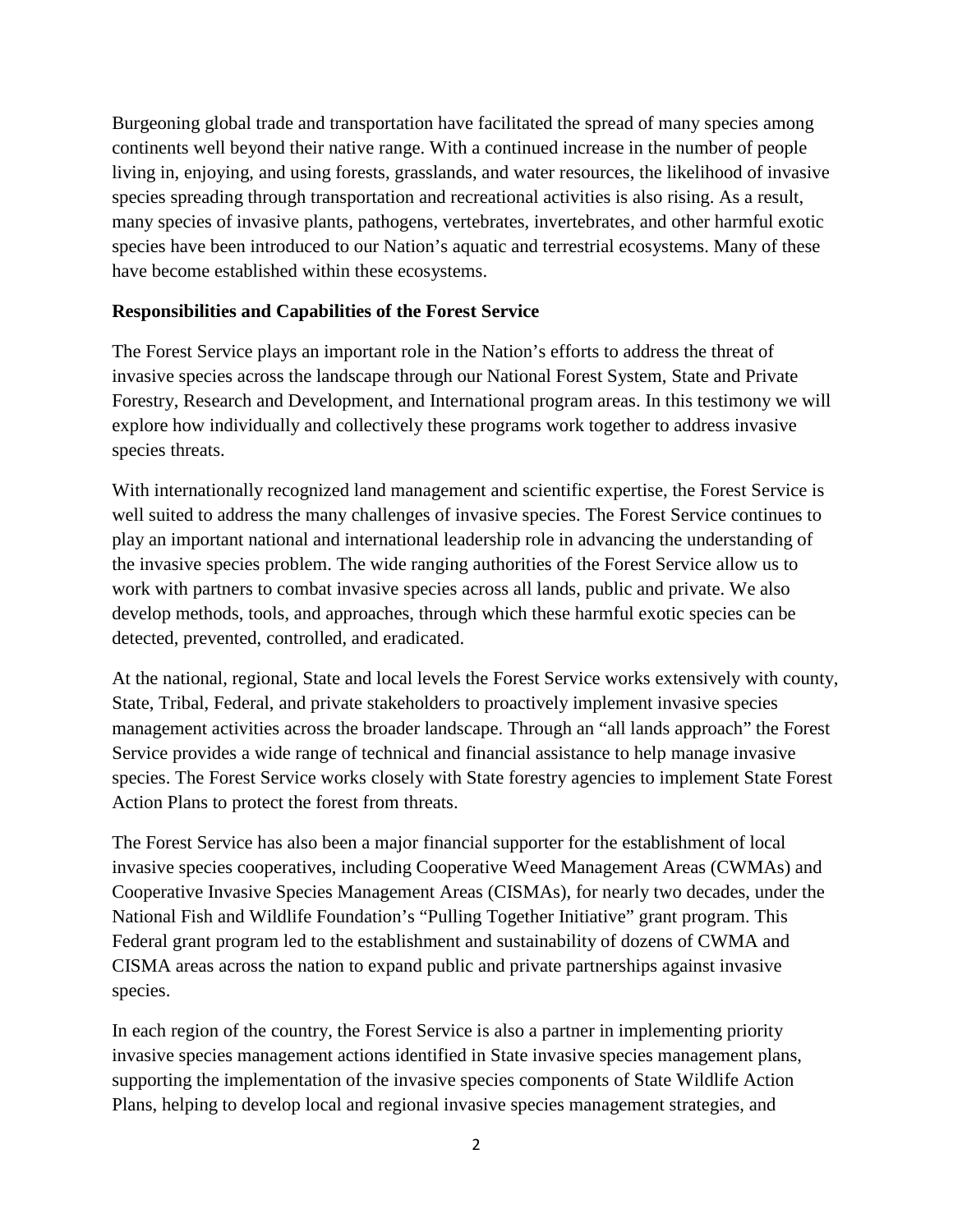Burgeoning global trade and transportation have facilitated the spread of many species among continents well beyond their native range. With a continued increase in the number of people living in, enjoying, and using forests, grasslands, and water resources, the likelihood of invasive species spreading through transportation and recreational activities is also rising. As a result, many species of invasive plants, pathogens, vertebrates, invertebrates, and other harmful exotic species have been introduced to our Nation's aquatic and terrestrial ecosystems. Many of these have become established within these ecosystems.

## **Responsibilities and Capabilities of the Forest Service**

The Forest Service plays an important role in the Nation's efforts to address the threat of invasive species across the landscape through our National Forest System, State and Private Forestry, Research and Development, and International program areas. In this testimony we will explore how individually and collectively these programs work together to address invasive species threats.

With internationally recognized land management and scientific expertise, the Forest Service is well suited to address the many challenges of invasive species. The Forest Service continues to play an important national and international leadership role in advancing the understanding of the invasive species problem. The wide ranging authorities of the Forest Service allow us to work with partners to combat invasive species across all lands, public and private. We also develop methods, tools, and approaches, through which these harmful exotic species can be detected, prevented, controlled, and eradicated.

At the national, regional, State and local levels the Forest Service works extensively with county, State, Tribal, Federal, and private stakeholders to proactively implement invasive species management activities across the broader landscape. Through an "all lands approach" the Forest Service provides a wide range of technical and financial assistance to help manage invasive species. The Forest Service works closely with State forestry agencies to implement State Forest Action Plans to protect the forest from threats.

The Forest Service has also been a major financial supporter for the establishment of local invasive species cooperatives, including Cooperative Weed Management Areas (CWMAs) and Cooperative Invasive Species Management Areas (CISMAs), for nearly two decades, under the National Fish and Wildlife Foundation's "Pulling Together Initiative" grant program. This Federal grant program led to the establishment and sustainability of dozens of CWMA and CISMA areas across the nation to expand public and private partnerships against invasive species.

In each region of the country, the Forest Service is also a partner in implementing priority invasive species management actions identified in State invasive species management plans, supporting the implementation of the invasive species components of State Wildlife Action Plans, helping to develop local and regional invasive species management strategies, and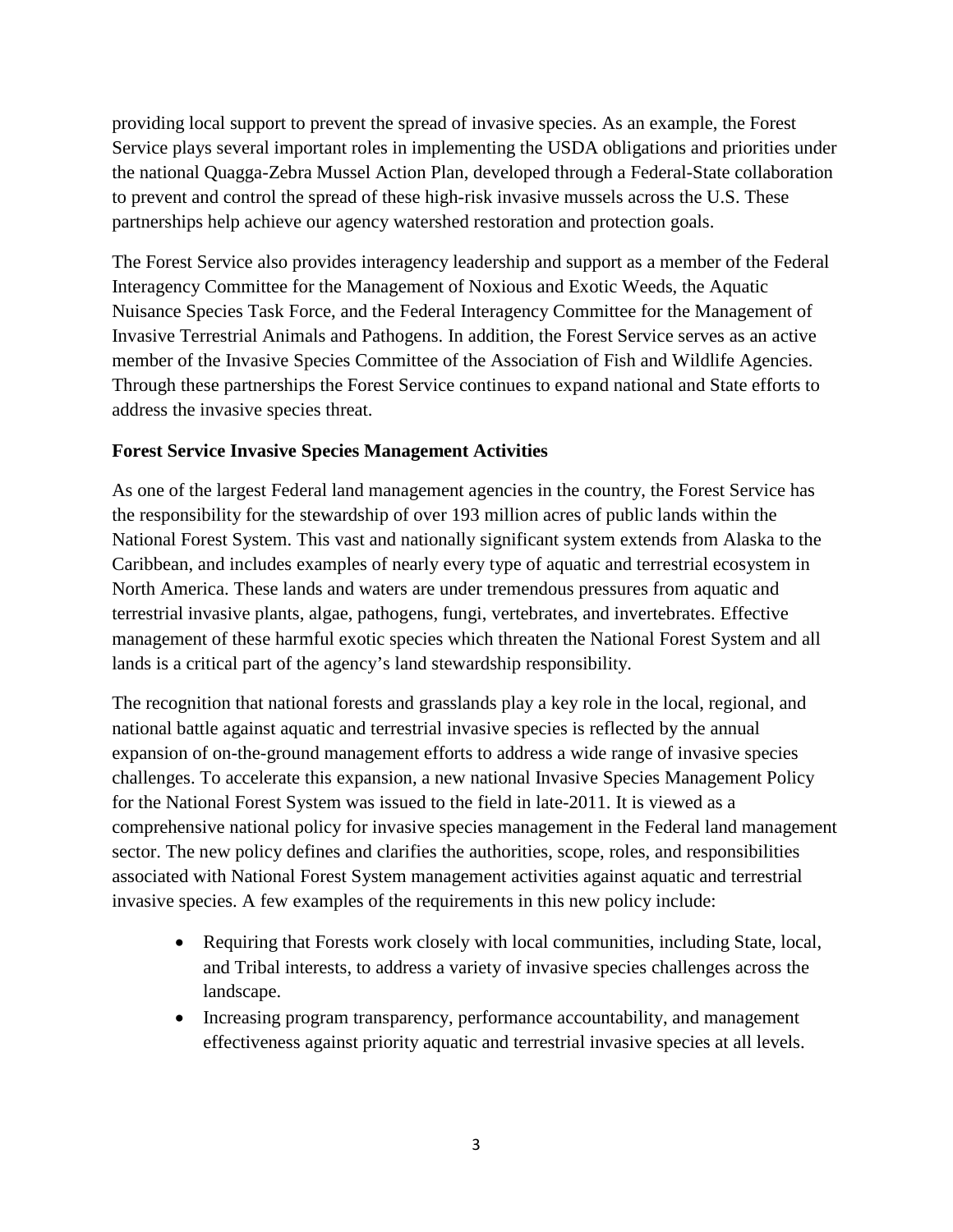providing local support to prevent the spread of invasive species. As an example, the Forest Service plays several important roles in implementing the USDA obligations and priorities under the national Quagga-Zebra Mussel Action Plan, developed through a Federal-State collaboration to prevent and control the spread of these high-risk invasive mussels across the U.S. These partnerships help achieve our agency watershed restoration and protection goals.

The Forest Service also provides interagency leadership and support as a member of the Federal Interagency Committee for the Management of Noxious and Exotic Weeds, the Aquatic Nuisance Species Task Force, and the Federal Interagency Committee for the Management of Invasive Terrestrial Animals and Pathogens. In addition, the Forest Service serves as an active member of the Invasive Species Committee of the Association of Fish and Wildlife Agencies. Through these partnerships the Forest Service continues to expand national and State efforts to address the invasive species threat.

## **Forest Service Invasive Species Management Activities**

As one of the largest Federal land management agencies in the country, the Forest Service has the responsibility for the stewardship of over 193 million acres of public lands within the National Forest System. This vast and nationally significant system extends from Alaska to the Caribbean, and includes examples of nearly every type of aquatic and terrestrial ecosystem in North America. These lands and waters are under tremendous pressures from aquatic and terrestrial invasive plants, algae, pathogens, fungi, vertebrates, and invertebrates. Effective management of these harmful exotic species which threaten the National Forest System and all lands is a critical part of the agency's land stewardship responsibility.

The recognition that national forests and grasslands play a key role in the local, regional, and national battle against aquatic and terrestrial invasive species is reflected by the annual expansion of on-the-ground management efforts to address a wide range of invasive species challenges. To accelerate this expansion, a new national Invasive Species Management Policy for the National Forest System was issued to the field in late-2011. It is viewed as a comprehensive national policy for invasive species management in the Federal land management sector. The new policy defines and clarifies the authorities, scope, roles, and responsibilities associated with National Forest System management activities against aquatic and terrestrial invasive species. A few examples of the requirements in this new policy include:

- Requiring that Forests work closely with local communities, including State, local, and Tribal interests, to address a variety of invasive species challenges across the landscape.
- Increasing program transparency, performance accountability, and management effectiveness against priority aquatic and terrestrial invasive species at all levels.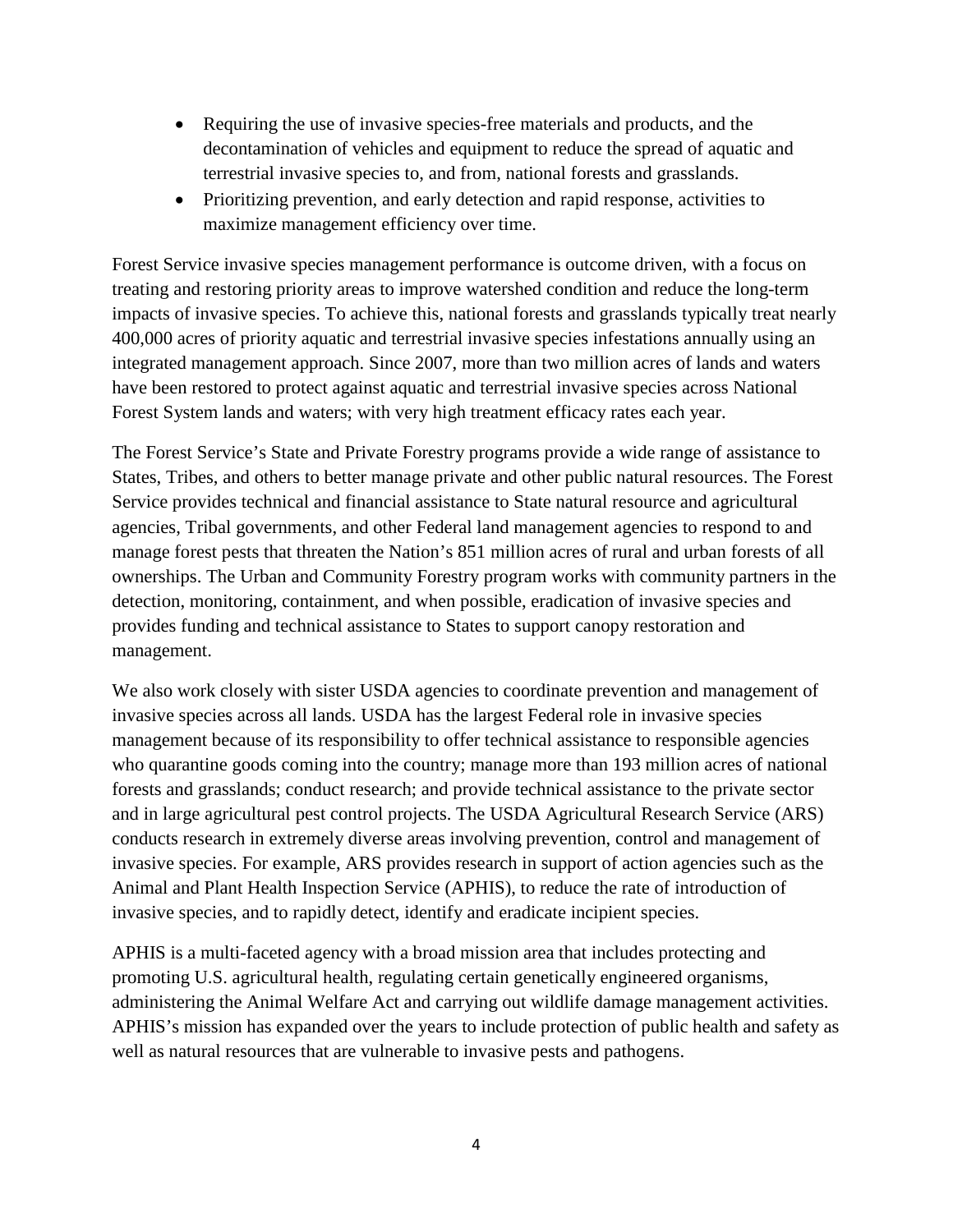- Requiring the use of invasive species-free materials and products, and the decontamination of vehicles and equipment to reduce the spread of aquatic and terrestrial invasive species to, and from, national forests and grasslands.
- Prioritizing prevention, and early detection and rapid response, activities to maximize management efficiency over time.

Forest Service invasive species management performance is outcome driven, with a focus on treating and restoring priority areas to improve watershed condition and reduce the long-term impacts of invasive species. To achieve this, national forests and grasslands typically treat nearly 400,000 acres of priority aquatic and terrestrial invasive species infestations annually using an integrated management approach. Since 2007, more than two million acres of lands and waters have been restored to protect against aquatic and terrestrial invasive species across National Forest System lands and waters; with very high treatment efficacy rates each year.

The Forest Service's State and Private Forestry programs provide a wide range of assistance to States, Tribes, and others to better manage private and other public natural resources. The Forest Service provides technical and financial assistance to State natural resource and agricultural agencies, Tribal governments, and other Federal land management agencies to respond to and manage forest pests that threaten the Nation's 851 million acres of rural and urban forests of all ownerships. The Urban and Community Forestry program works with community partners in the detection, monitoring, containment, and when possible, eradication of invasive species and provides funding and technical assistance to States to support canopy restoration and management.

We also work closely with sister USDA agencies to coordinate prevention and management of invasive species across all lands. USDA has the largest Federal role in invasive species management because of its responsibility to offer technical assistance to responsible agencies who quarantine goods coming into the country; manage more than 193 million acres of national forests and grasslands; conduct research; and provide technical assistance to the private sector and in large agricultural pest control projects. The USDA Agricultural Research Service (ARS) conducts research in extremely diverse areas involving prevention, control and management of invasive species. For example, ARS provides research in support of action agencies such as the Animal and Plant Health Inspection Service (APHIS), to reduce the rate of introduction of invasive species, and to rapidly detect, identify and eradicate incipient species.

APHIS is a multi-faceted agency with a broad mission area that includes protecting and promoting U.S. agricultural health, regulating certain genetically engineered organisms, administering the Animal Welfare Act and carrying out wildlife damage management activities. APHIS's mission has expanded over the years to include protection of public health and safety as well as natural resources that are vulnerable to invasive pests and pathogens.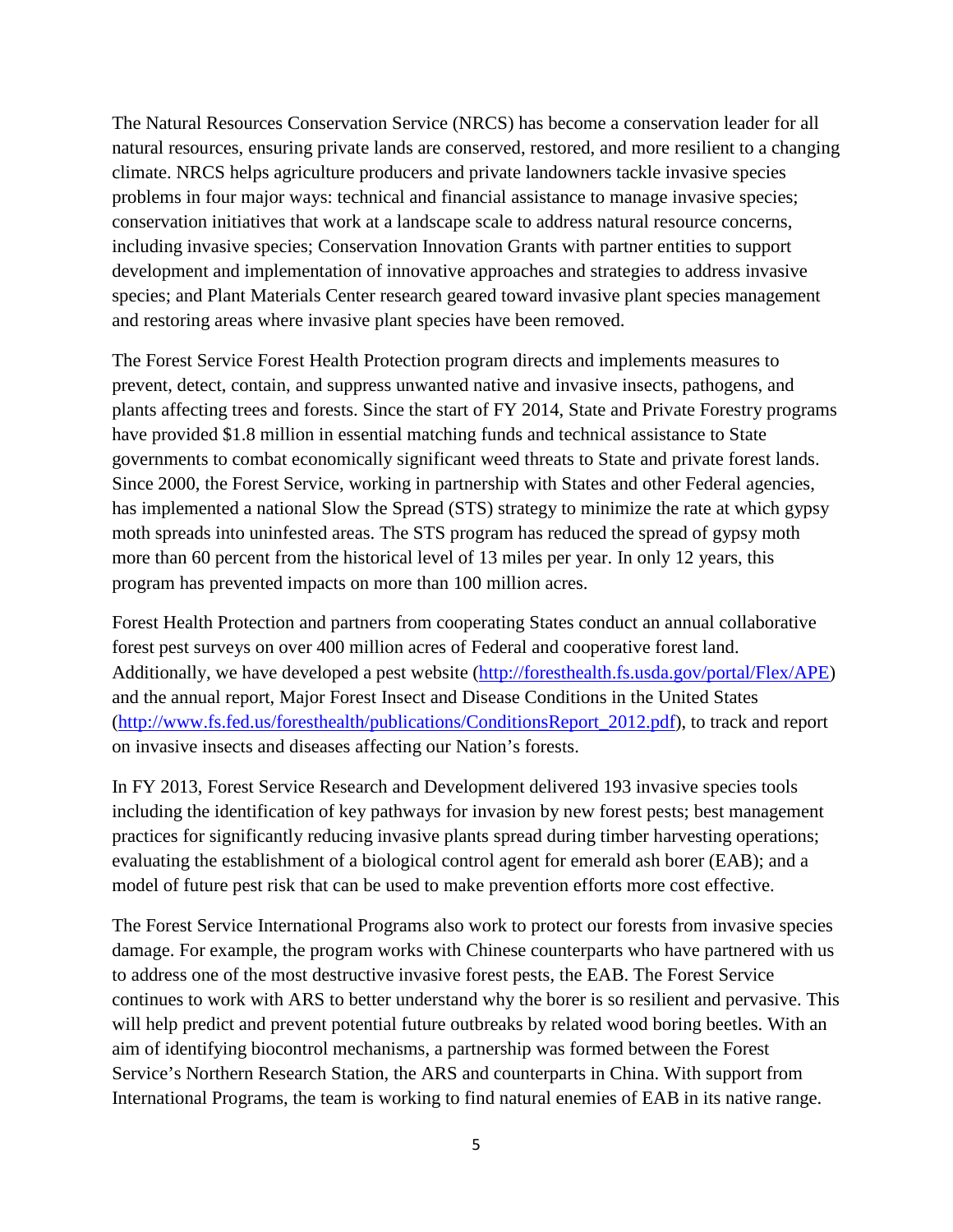The Natural Resources Conservation Service (NRCS) has become a conservation leader for all natural resources, ensuring private lands are conserved, restored, and more resilient to a changing climate. NRCS helps agriculture producers and private landowners tackle invasive species problems in four major ways: technical and financial assistance to manage invasive species; conservation initiatives that work at a landscape scale to address natural resource concerns, including invasive species; Conservation Innovation Grants with partner entities to support development and implementation of innovative approaches and strategies to address invasive species; and Plant Materials Center research geared toward invasive plant species management and restoring areas where invasive plant species have been removed.

The Forest Service Forest Health Protection program directs and implements measures to prevent, detect, contain, and suppress unwanted native and invasive insects, pathogens, and plants affecting trees and forests. Since the start of FY 2014, State and Private Forestry programs have provided \$1.8 million in essential matching funds and technical assistance to State governments to combat economically significant weed threats to State and private forest lands. Since 2000, the Forest Service, working in partnership with States and other Federal agencies, has implemented a national Slow the Spread (STS) strategy to minimize the rate at which gypsy moth spreads into uninfested areas. The STS program has reduced the spread of gypsy moth more than 60 percent from the historical level of 13 miles per year. In only 12 years, this program has prevented impacts on more than 100 million acres.

Forest Health Protection and partners from cooperating States conduct an annual collaborative forest pest surveys on over 400 million acres of Federal and cooperative forest land. Additionally, we have developed a pest website [\(http://foresthealth.fs.usda.gov/portal/Flex/APE\)](http://foresthealth.fs.usda.gov/portal/Flex/APE) and the annual report, Major Forest Insect and Disease Conditions in the United States [\(http://www.fs.fed.us/foresthealth/publications/ConditionsReport\\_2012.pdf\)](http://www.fs.fed.us/foresthealth/publications/ConditionsReport_2012.pdf), to track and report on invasive insects and diseases affecting our Nation's forests.

In FY 2013, Forest Service Research and Development delivered 193 invasive species tools including the identification of key pathways for invasion by new forest pests; best management practices for significantly reducing invasive plants spread during timber harvesting operations; evaluating the establishment of a biological control agent for emerald ash borer (EAB); and a model of future pest risk that can be used to make prevention efforts more cost effective.

The Forest Service International Programs also work to protect our forests from invasive species damage. For example, the program works with Chinese counterparts who have partnered with us to address one of the most destructive invasive forest pests, the EAB. The Forest Service continues to work with ARS to better understand why the borer is so resilient and pervasive. This will help predict and prevent potential future outbreaks by related wood boring beetles. With an aim of identifying biocontrol mechanisms, a partnership was formed between the Forest Service's Northern Research Station, the ARS and counterparts in China. With support from International Programs, the team is working to find natural enemies of EAB in its native range.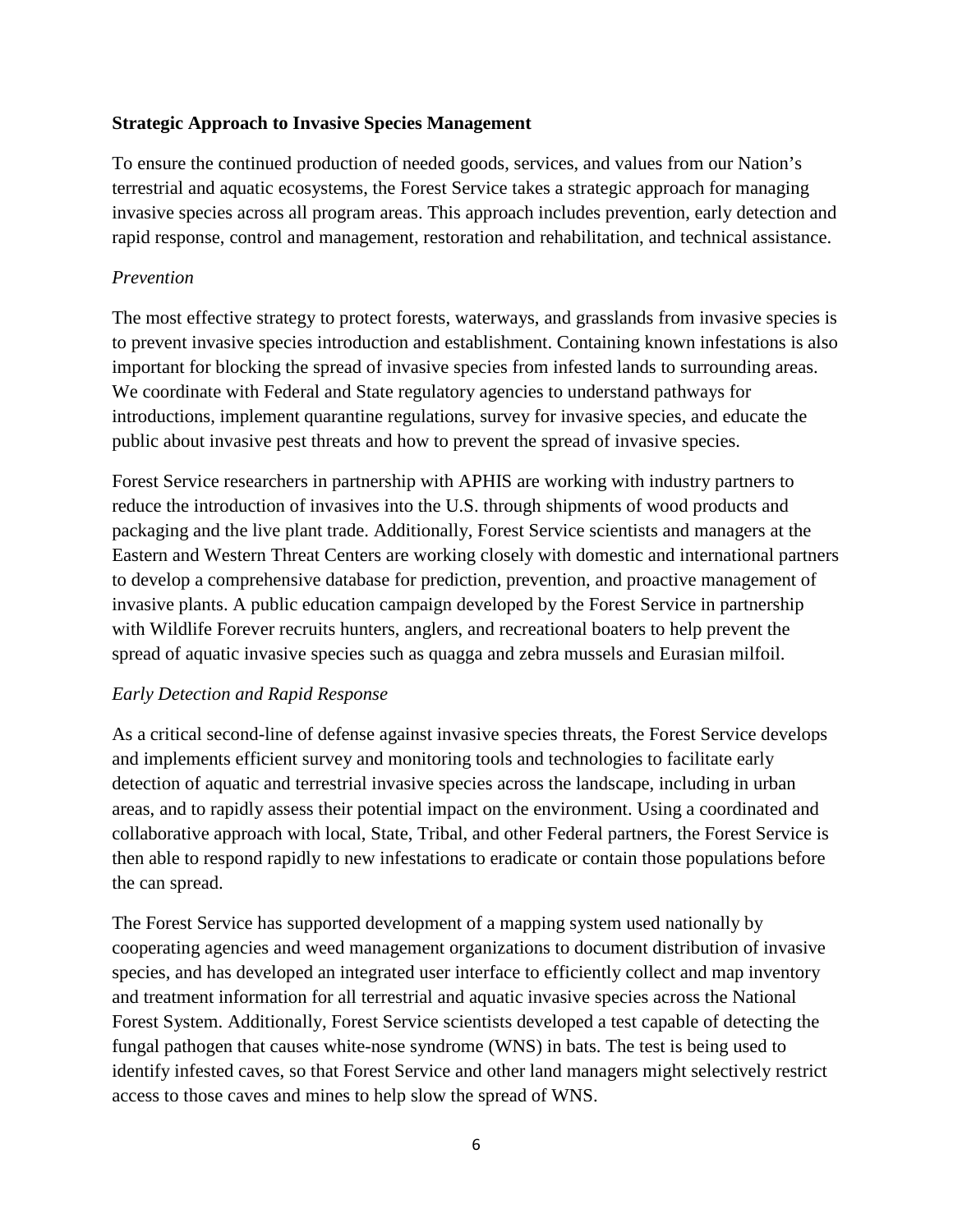## **Strategic Approach to Invasive Species Management**

To ensure the continued production of needed goods, services, and values from our Nation's terrestrial and aquatic ecosystems, the Forest Service takes a strategic approach for managing invasive species across all program areas. This approach includes prevention, early detection and rapid response, control and management, restoration and rehabilitation, and technical assistance.

## *Prevention*

The most effective strategy to protect forests, waterways, and grasslands from invasive species is to prevent invasive species introduction and establishment. Containing known infestations is also important for blocking the spread of invasive species from infested lands to surrounding areas. We coordinate with Federal and State regulatory agencies to understand pathways for introductions, implement quarantine regulations, survey for invasive species, and educate the public about invasive pest threats and how to prevent the spread of invasive species.

Forest Service researchers in partnership with APHIS are working with industry partners to reduce the introduction of invasives into the U.S. through shipments of wood products and packaging and the live plant trade. Additionally, Forest Service scientists and managers at the Eastern and Western Threat Centers are working closely with domestic and international partners to develop a comprehensive database for prediction, prevention, and proactive management of invasive plants. A public education campaign developed by the Forest Service in partnership with Wildlife Forever recruits hunters, anglers, and recreational boaters to help prevent the spread of aquatic invasive species such as quagga and zebra mussels and Eurasian milfoil.

# *Early Detection and Rapid Response*

As a critical second-line of defense against invasive species threats, the Forest Service develops and implements efficient survey and monitoring tools and technologies to facilitate early detection of aquatic and terrestrial invasive species across the landscape, including in urban areas, and to rapidly assess their potential impact on the environment. Using a coordinated and collaborative approach with local, State, Tribal, and other Federal partners, the Forest Service is then able to respond rapidly to new infestations to eradicate or contain those populations before the can spread.

The Forest Service has supported development of a mapping system used nationally by cooperating agencies and weed management organizations to document distribution of invasive species, and has developed an integrated user interface to efficiently collect and map inventory and treatment information for all terrestrial and aquatic invasive species across the National Forest System. Additionally, Forest Service scientists developed a test capable of detecting the fungal pathogen that causes white-nose syndrome (WNS) in bats. The test is being used to identify infested caves, so that Forest Service and other land managers might selectively restrict access to those caves and mines to help slow the spread of WNS.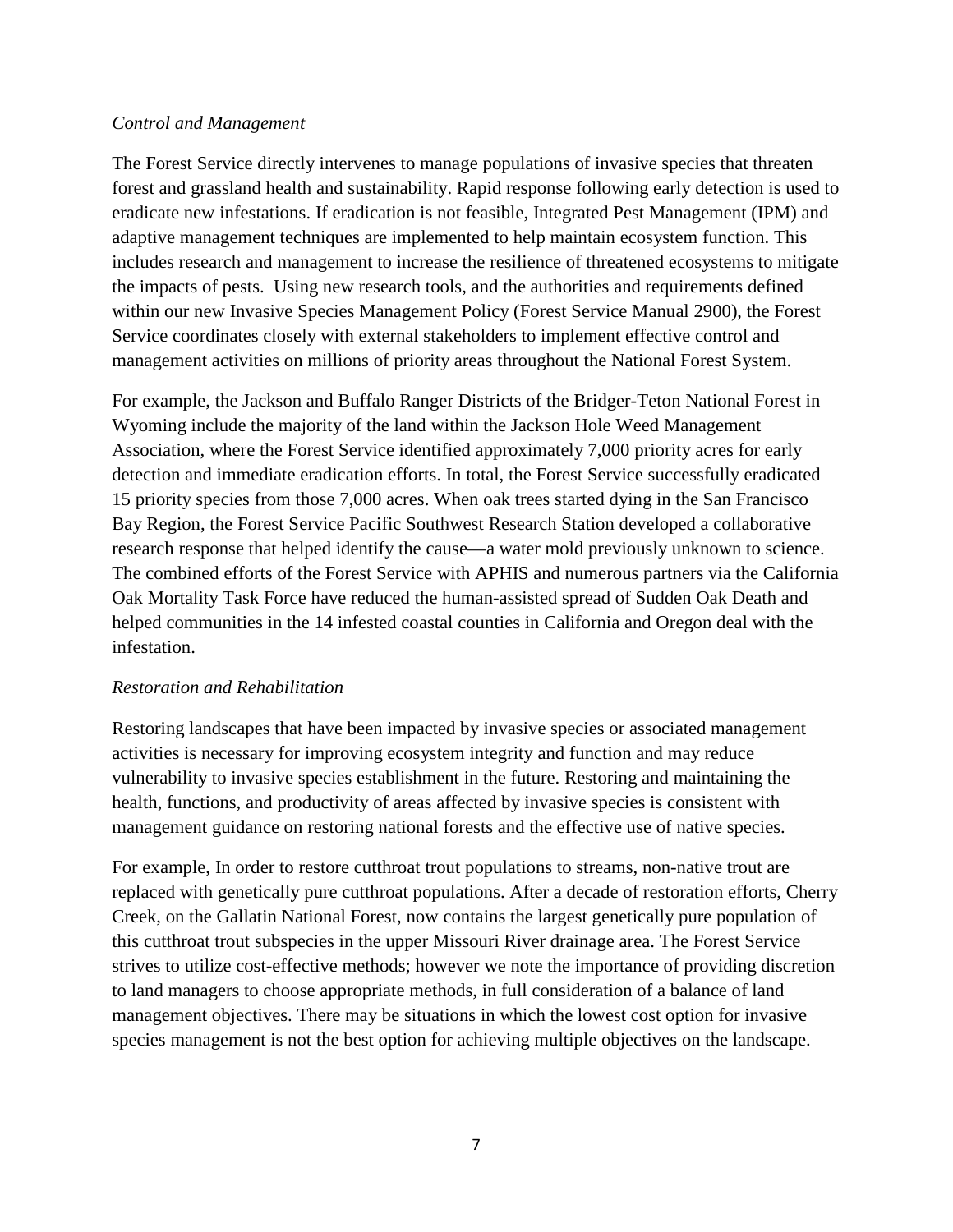#### *Control and Management*

The Forest Service directly intervenes to manage populations of invasive species that threaten forest and grassland health and sustainability. Rapid response following early detection is used to eradicate new infestations. If eradication is not feasible, Integrated Pest Management (IPM) and adaptive management techniques are implemented to help maintain ecosystem function. This includes research and management to increase the resilience of threatened ecosystems to mitigate the impacts of pests. Using new research tools, and the authorities and requirements defined within our new Invasive Species Management Policy (Forest Service Manual 2900), the Forest Service coordinates closely with external stakeholders to implement effective control and management activities on millions of priority areas throughout the National Forest System.

For example, the Jackson and Buffalo Ranger Districts of the Bridger-Teton National Forest in Wyoming include the majority of the land within the Jackson Hole Weed Management Association, where the Forest Service identified approximately 7,000 priority acres for early detection and immediate eradication efforts. In total, the Forest Service successfully eradicated 15 priority species from those 7,000 acres. When oak trees started dying in the San Francisco Bay Region, the Forest Service Pacific Southwest Research Station developed a collaborative research response that helped identify the cause—a water mold previously unknown to science. The combined efforts of the Forest Service with APHIS and numerous partners via the California Oak Mortality Task Force have reduced the human-assisted spread of Sudden Oak Death and helped communities in the 14 infested coastal counties in California and Oregon deal with the infestation.

# *Restoration and Rehabilitation*

Restoring landscapes that have been impacted by invasive species or associated management activities is necessary for improving ecosystem integrity and function and may reduce vulnerability to invasive species establishment in the future. Restoring and maintaining the health, functions, and productivity of areas affected by invasive species is consistent with management guidance on restoring national forests and the effective use of native species.

For example, In order to restore cutthroat trout populations to streams, non-native trout are replaced with genetically pure cutthroat populations. After a decade of restoration efforts, Cherry Creek, on the Gallatin National Forest, now contains the largest genetically pure population of this cutthroat trout subspecies in the upper Missouri River drainage area. The Forest Service strives to utilize cost-effective methods; however we note the importance of providing discretion to land managers to choose appropriate methods, in full consideration of a balance of land management objectives. There may be situations in which the lowest cost option for invasive species management is not the best option for achieving multiple objectives on the landscape.